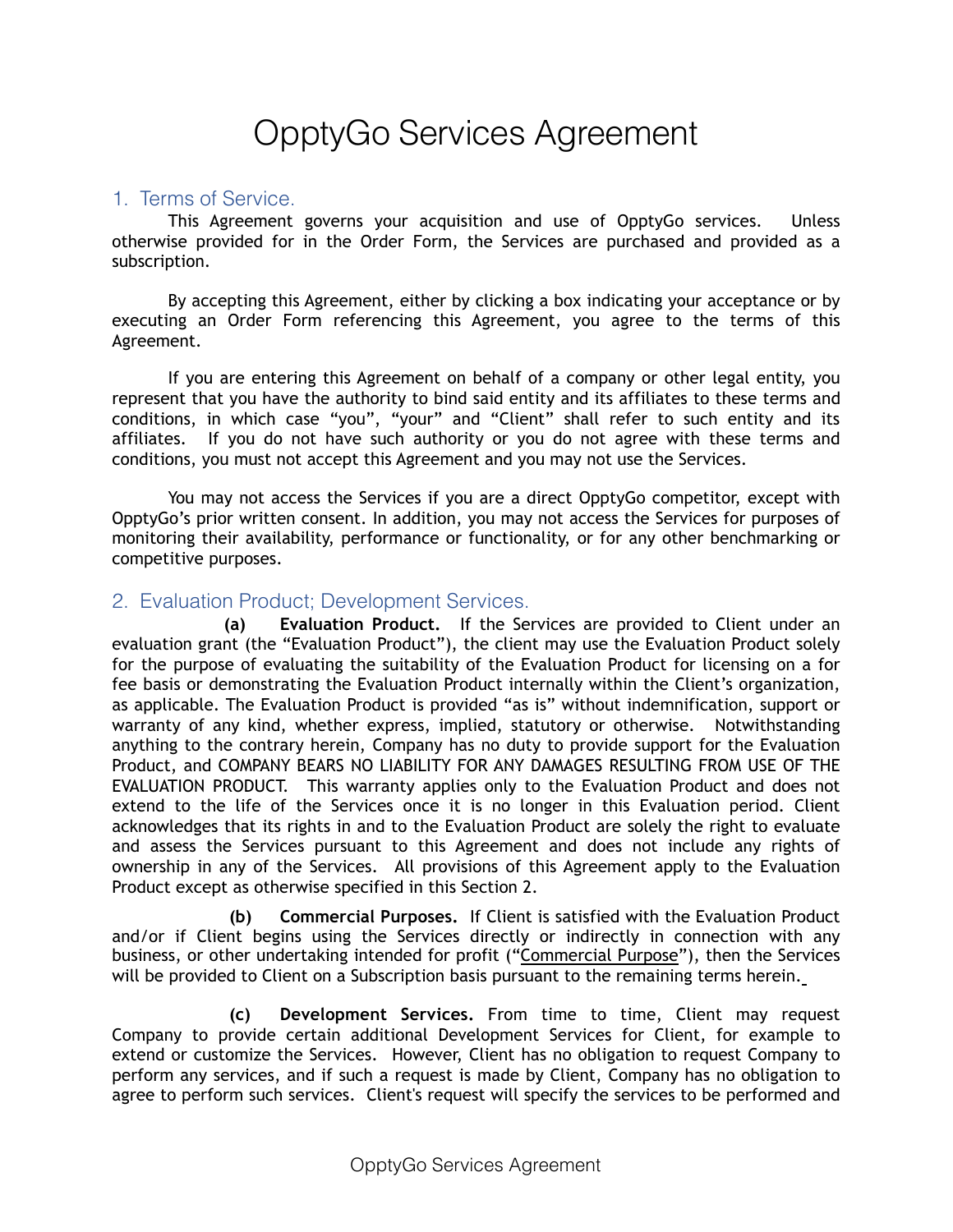# OpptyGo Services Agreement

#### 1. Terms of Service.

This Agreement governs your acquisition and use of OpptyGo services. Unless otherwise provided for in the Order Form, the Services are purchased and provided as a subscription.

By accepting this Agreement, either by clicking a box indicating your acceptance or by executing an Order Form referencing this Agreement, you agree to the terms of this Agreement.

If you are entering this Agreement on behalf of a company or other legal entity, you represent that you have the authority to bind said entity and its affiliates to these terms and conditions, in which case "you", "your" and "Client" shall refer to such entity and its affiliates. If you do not have such authority or you do not agree with these terms and conditions, you must not accept this Agreement and you may not use the Services.

You may not access the Services if you are a direct OpptyGo competitor, except with OpptyGo's prior written consent. In addition, you may not access the Services for purposes of monitoring their availability, performance or functionality, or for any other benchmarking or competitive purposes.

#### 2. Evaluation Product; Development Services.

**(a) Evaluation Product.** If the Services are provided to Client under an evaluation grant (the "Evaluation Product"), the client may use the Evaluation Product solely for the purpose of evaluating the suitability of the Evaluation Product for licensing on a for fee basis or demonstrating the Evaluation Product internally within the Client's organization, as applicable. The Evaluation Product is provided "as is" without indemnification, support or warranty of any kind, whether express, implied, statutory or otherwise. Notwithstanding anything to the contrary herein, Company has no duty to provide support for the Evaluation Product, and COMPANY BEARS NO LIABILITY FOR ANY DAMAGES RESULTING FROM USE OF THE EVALUATION PRODUCT. This warranty applies only to the Evaluation Product and does not extend to the life of the Services once it is no longer in this Evaluation period. Client acknowledges that its rights in and to the Evaluation Product are solely the right to evaluate and assess the Services pursuant to this Agreement and does not include any rights of ownership in any of the Services. All provisions of this Agreement apply to the Evaluation Product except as otherwise specified in this Section 2.

 **(b) Commercial Purposes.** If Client is satisfied with the Evaluation Product and/or if Client begins using the Services directly or indirectly in connection with any business, or other undertaking intended for profit ("Commercial Purpose"), then the Services will be provided to Client on a Subscription basis pursuant to the remaining terms herein.

**(c) Development Services.** From time to time, Client may request Company to provide certain additional Development Services for Client, for example to extend or customize the Services. However, Client has no obligation to request Company to perform any services, and if such a request is made by Client, Company has no obligation to agree to perform such services. Client's request will specify the services to be performed and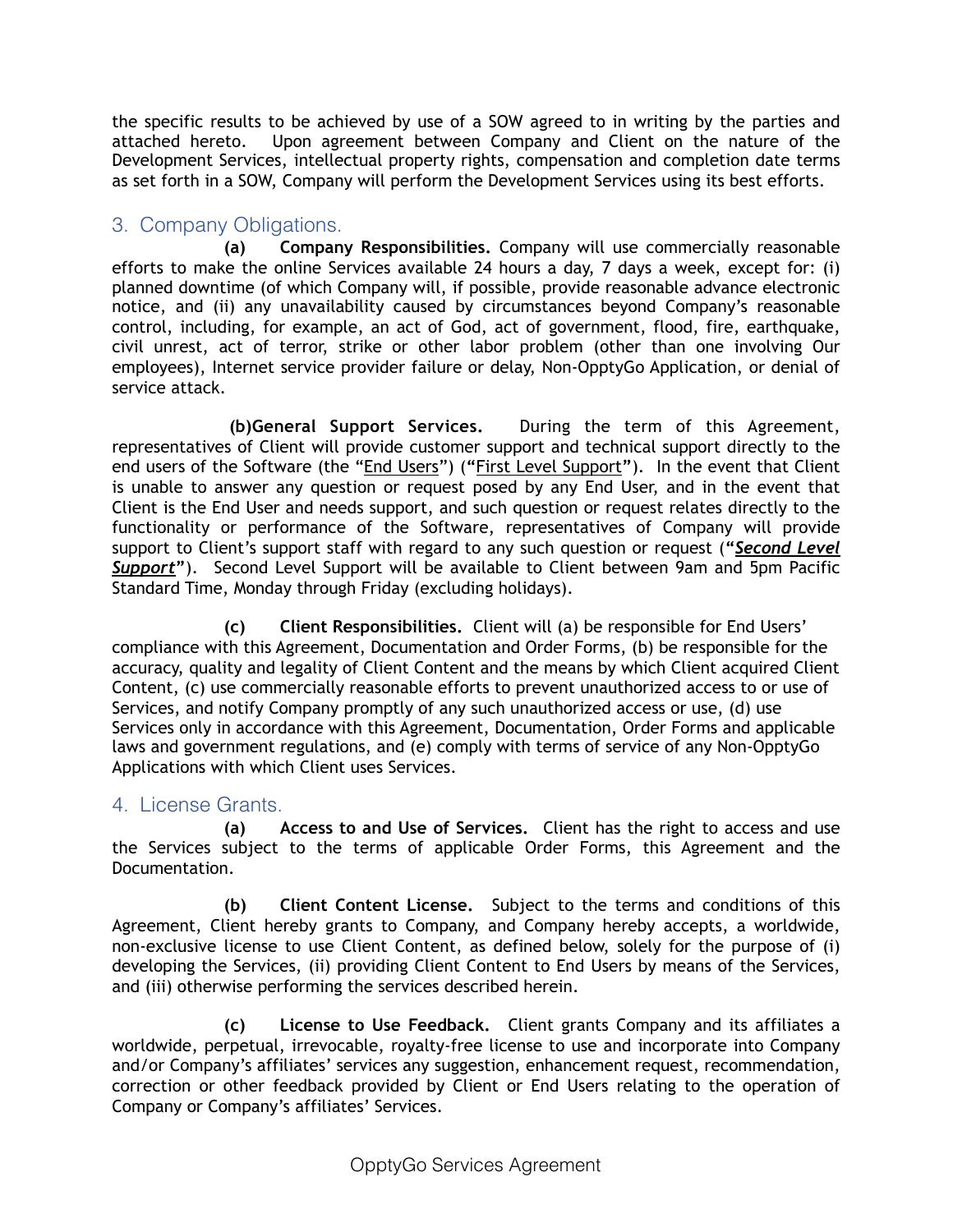the specific results to be achieved by use of a SOW agreed to in writing by the parties and attached hereto. Upon agreement between Company and Client on the nature of the Development Services, intellectual property rights, compensation and completion date terms as set forth in a SOW, Company will perform the Development Services using its best efforts.

# 3. Company Obligations.

**(a) Company Responsibilities.** Company will use commercially reasonable efforts to make the online Services available 24 hours a day, 7 days a week, except for: (i) planned downtime (of which Company will, if possible, provide reasonable advance electronic notice, and (ii) any unavailability caused by circumstances beyond Company's reasonable control, including, for example, an act of God, act of government, flood, fire, earthquake, civil unrest, act of terror, strike or other labor problem (other than one involving Our employees), Internet service provider failure or delay, Non-OpptyGo Application, or denial of service attack.

 **(b) General Support Services.** During the term of this Agreement, representatives of Client will provide customer support and technical support directly to the end users of the Software (the "End Users") (**"**First Level Support**"**). In the event that Client is unable to answer any question or request posed by any End User, and in the event that Client is the End User and needs support, and such question or request relates directly to the functionality or performance of the Software, representatives of Company will provide support to Client's support staff with regard to any such question or request (**"***Second Level Support***"**). Second Level Support will be available to Client between 9am and 5pm Pacific Standard Time, Monday through Friday (excluding holidays).

 **(c) Client Responsibilities.** Client will (a) be responsible for End Users' compliance with this Agreement, Documentation and Order Forms, (b) be responsible for the accuracy, quality and legality of Client Content and the means by which Client acquired Client Content, (c) use commercially reasonable efforts to prevent unauthorized access to or use of Services, and notify Company promptly of any such unauthorized access or use, (d) use Services only in accordance with this Agreement, Documentation, Order Forms and applicable laws and government regulations, and (e) comply with terms of service of any Non-OpptyGo Applications with which Client uses Services.

# 4. License Grants.

**(a) Access to and Use of Services.** Client has the right to access and use the Services subject to the terms of applicable Order Forms, this Agreement and the Documentation.

**(b) Client Content License.** Subject to the terms and conditions of this Agreement, Client hereby grants to Company, and Company hereby accepts, a worldwide, non-exclusive license to use Client Content, as defined below, solely for the purpose of (i) developing the Services, (ii) providing Client Content to End Users by means of the Services, and (iii) otherwise performing the services described herein.

**(c) License to Use Feedback.** Client grants Company and its affiliates a worldwide, perpetual, irrevocable, royalty-free license to use and incorporate into Company and/or Company's affiliates' services any suggestion, enhancement request, recommendation, correction or other feedback provided by Client or End Users relating to the operation of Company or Company's affiliates' Services.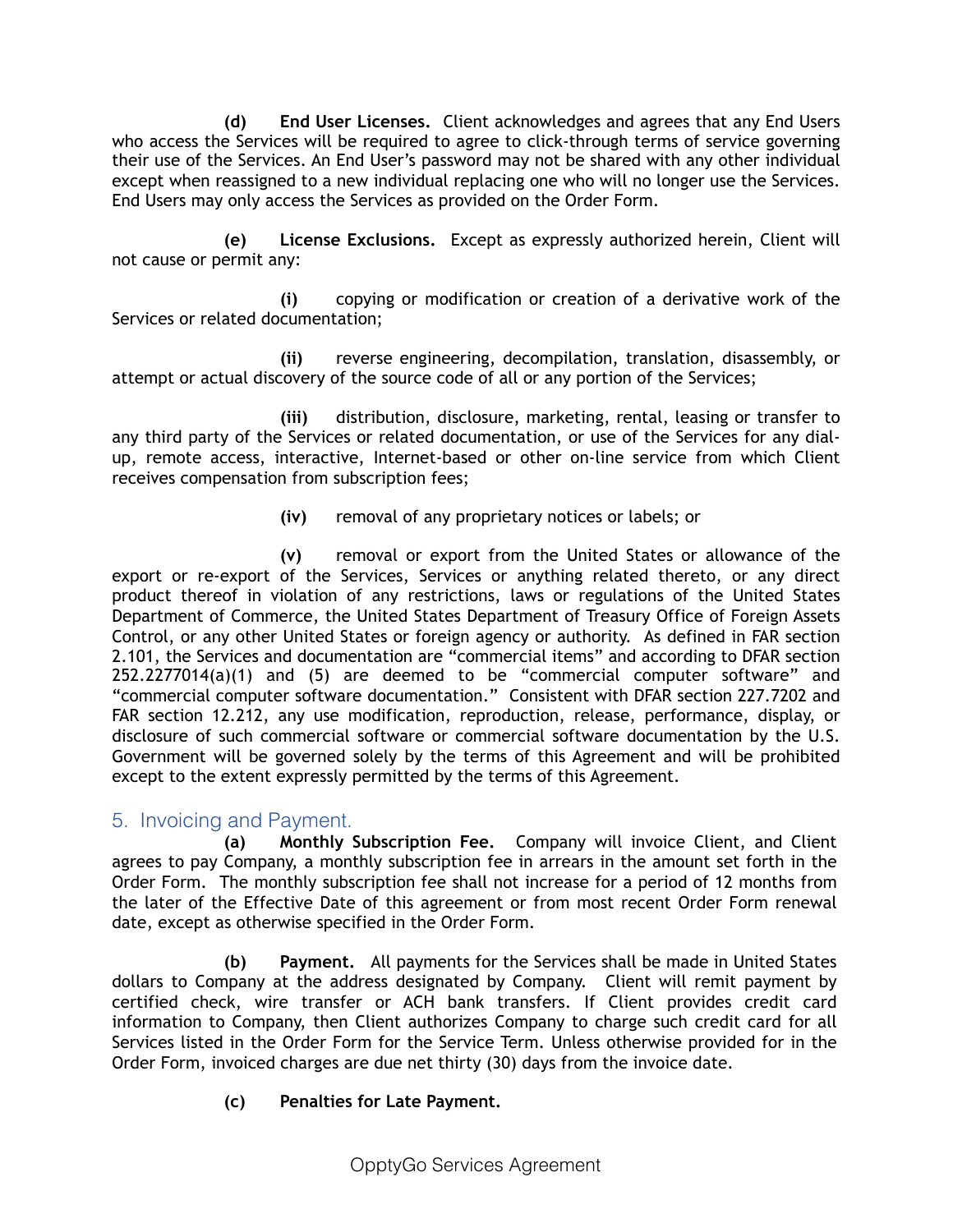**(d) End User Licenses.** Client acknowledges and agrees that any End Users who access the Services will be required to agree to click-through terms of service governing their use of the Services. An End User's password may not be shared with any other individual except when reassigned to a new individual replacing one who will no longer use the Services. End Users may only access the Services as provided on the Order Form.

 **(e) License Exclusions.** Except as expressly authorized herein, Client will not cause or permit any:

**(i)** copying or modification or creation of a derivative work of the Services or related documentation;

**(ii)** reverse engineering, decompilation, translation, disassembly, or attempt or actual discovery of the source code of all or any portion of the Services;

**(iii)** distribution, disclosure, marketing, rental, leasing or transfer to any third party of the Services or related documentation, or use of the Services for any dialup, remote access, interactive, Internet-based or other on-line service from which Client receives compensation from subscription fees;

**(iv)** removal of any proprietary notices or labels; or

**(v)** removal or export from the United States or allowance of the export or re-export of the Services, Services or anything related thereto, or any direct product thereof in violation of any restrictions, laws or regulations of the United States Department of Commerce, the United States Department of Treasury Office of Foreign Assets Control, or any other United States or foreign agency or authority. As defined in FAR section 2.101, the Services and documentation are "commercial items" and according to DFAR section 252.2277014(a)(1) and (5) are deemed to be "commercial computer software" and "commercial computer software documentation." Consistent with DFAR section 227.7202 and FAR section 12.212, any use modification, reproduction, release, performance, display, or disclosure of such commercial software or commercial software documentation by the U.S. Government will be governed solely by the terms of this Agreement and will be prohibited except to the extent expressly permitted by the terms of this Agreement.

# 5. Invoicing and Payment.

**(a) Monthly Subscription Fee.** Company will invoice Client, and Client agrees to pay Company, a monthly subscription fee in arrears in the amount set forth in the Order Form. The monthly subscription fee shall not increase for a period of 12 months from the later of the Effective Date of this agreement or from most recent Order Form renewal date, except as otherwise specified in the Order Form.

**(b) Payment.** All payments for the Services shall be made in United States dollars to Company at the address designated by Company. Client will remit payment by certified check, wire transfer or ACH bank transfers. If Client provides credit card information to Company, then Client authorizes Company to charge such credit card for all Services listed in the Order Form for the Service Term. Unless otherwise provided for in the Order Form, invoiced charges are due net thirty (30) days from the invoice date.

# **(c) Penalties for Late Payment.**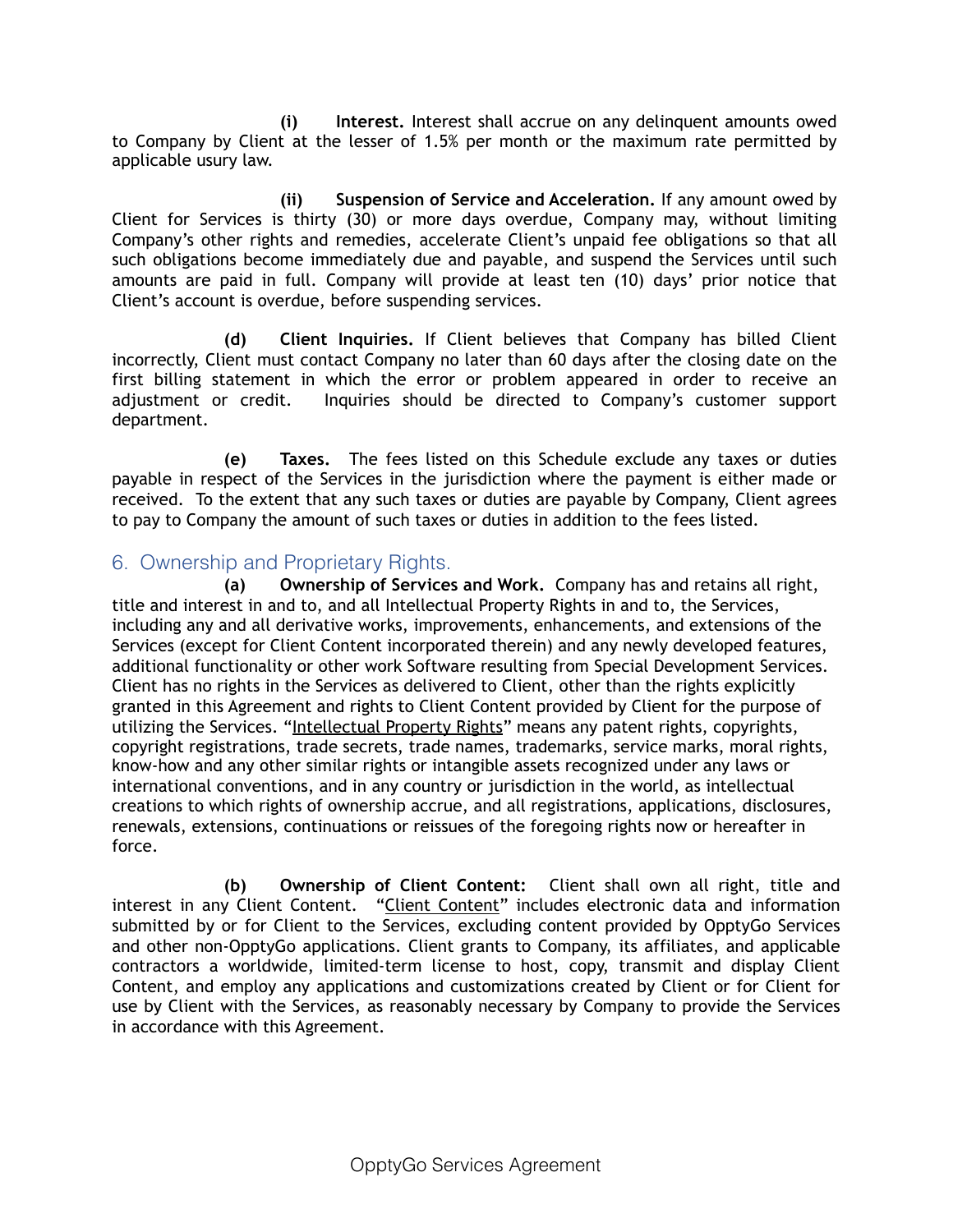**(i) Interest.** Interest shall accrue on any delinquent amounts owed to Company by Client at the lesser of 1.5% per month or the maximum rate permitted by applicable usury law.

**(ii) Suspension of Service and Acceleration.** If any amount owed by Client for Services is thirty (30) or more days overdue, Company may, without limiting Company's other rights and remedies, accelerate Client's unpaid fee obligations so that all such obligations become immediately due and payable, and suspend the Services until such amounts are paid in full. Company will provide at least ten (10) days' prior notice that Client's account is overdue, before suspending services.

**(d) Client Inquiries.** If Client believes that Company has billed Client incorrectly, Client must contact Company no later than 60 days after the closing date on the first billing statement in which the error or problem appeared in order to receive an adjustment or credit. Inquiries should be directed to Company's customer support department.

**(e) Taxes.** The fees listed on this Schedule exclude any taxes or duties payable in respect of the Services in the jurisdiction where the payment is either made or received. To the extent that any such taxes or duties are payable by Company, Client agrees to pay to Company the amount of such taxes or duties in addition to the fees listed.

# 6. Ownership and Proprietary Rights.

**(a) Ownership of Services and Work.** Company has and retains all right, title and interest in and to, and all Intellectual Property Rights in and to, the Services, including any and all derivative works, improvements, enhancements, and extensions of the Services (except for Client Content incorporated therein) and any newly developed features, additional functionality or other work Software resulting from Special Development Services. Client has no rights in the Services as delivered to Client, other than the rights explicitly granted in this Agreement and rights to Client Content provided by Client for the purpose of utilizing the Services. "Intellectual Property Rights" means any patent rights, copyrights, copyright registrations, trade secrets, trade names, trademarks, service marks, moral rights, know-how and any other similar rights or intangible assets recognized under any laws or international conventions, and in any country or jurisdiction in the world, as intellectual creations to which rights of ownership accrue, and all registrations, applications, disclosures, renewals, extensions, continuations or reissues of the foregoing rights now or hereafter in force.

**(b) Ownership of Client Content:** Client shall own all right, title and interest in any Client Content. "Client Content" includes electronic data and information submitted by or for Client to the Services, excluding content provided by OpptyGo Services and other non-OpptyGo applications. Client grants to Company, its affiliates, and applicable contractors a worldwide, limited-term license to host, copy, transmit and display Client Content, and employ any applications and customizations created by Client or for Client for use by Client with the Services, as reasonably necessary by Company to provide the Services in accordance with this Agreement.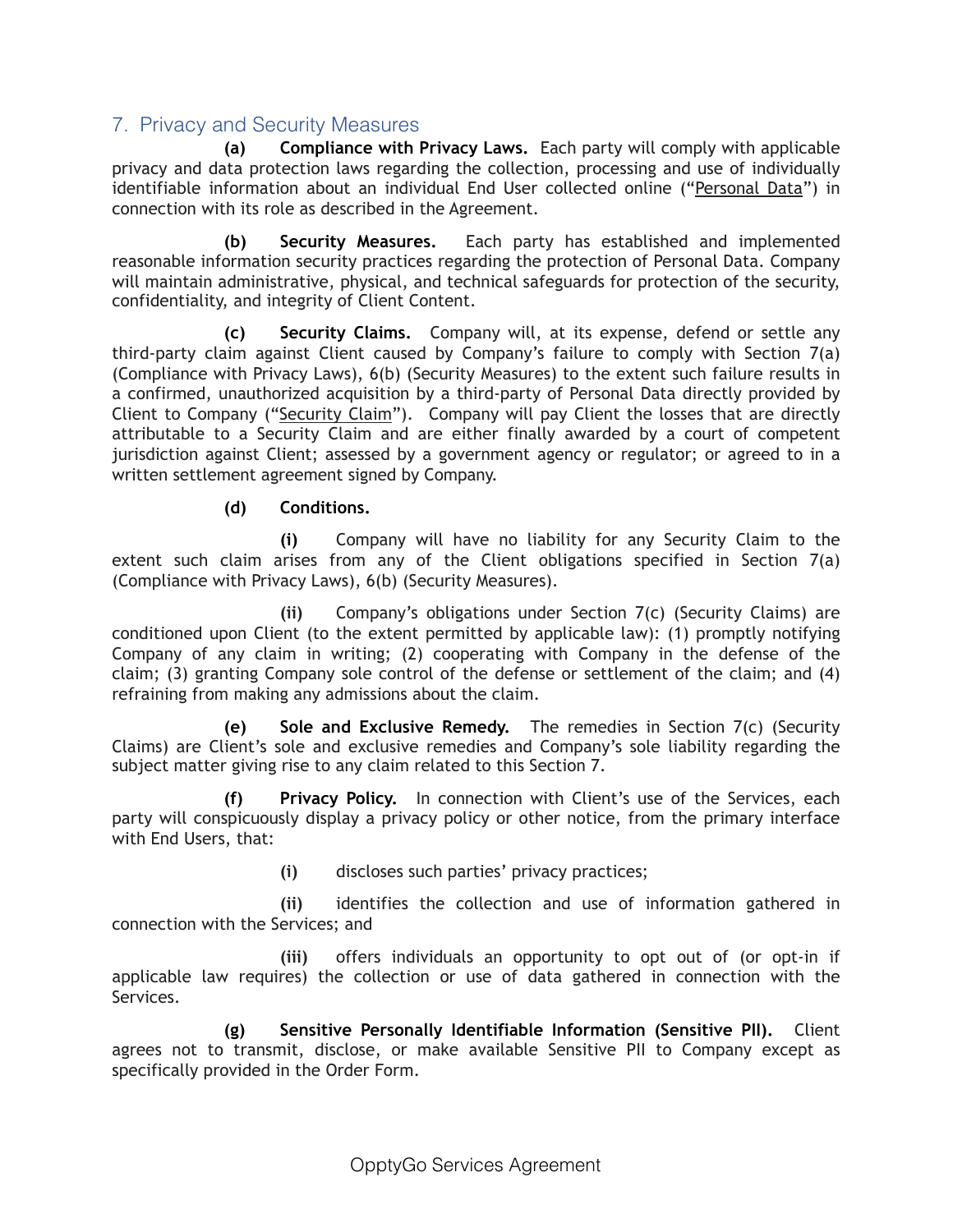# 7. Privacy and Security Measures

 **(a) Compliance with Privacy Laws.** Each party will comply with applicable privacy and data protection laws regarding the collection, processing and use of individually identifiable information about an individual End User collected online ("Personal Data") in connection with its role as described in the Agreement.

 **(b) Security Measures.** Each party has established and implemented reasonable information security practices regarding the protection of Personal Data. Company will maintain administrative, physical, and technical safeguards for protection of the security, confidentiality, and integrity of Client Content.

 **(c) Security Claims.** Company will, at its expense, defend or settle any third-party claim against Client caused by Company's failure to comply with Section 7(a) (Compliance with Privacy Laws), 6(b) (Security Measures) to the extent such failure results in a confirmed, unauthorized acquisition by a third-party of Personal Data directly provided by Client to Company ("Security Claim"). Company will pay Client the losses that are directly attributable to a Security Claim and are either finally awarded by a court of competent jurisdiction against Client; assessed by a government agency or regulator; or agreed to in a written settlement agreement signed by Company.

#### **(d) Conditions.**

**(i)** Company will have no liability for any Security Claim to the extent such claim arises from any of the Client obligations specified in Section 7(a) (Compliance with Privacy Laws), 6(b) (Security Measures).

**(ii)** Company's obligations under Section 7(c) (Security Claims) are conditioned upon Client (to the extent permitted by applicable law): (1) promptly notifying Company of any claim in writing; (2) cooperating with Company in the defense of the claim; (3) granting Company sole control of the defense or settlement of the claim; and (4) refraining from making any admissions about the claim.

 **(e) Sole and Exclusive Remedy.** The remedies in Section 7(c) (Security Claims) are Client's sole and exclusive remedies and Company's sole liability regarding the subject matter giving rise to any claim related to this Section 7.

 **(f) Privacy Policy.** In connection with Client's use of the Services, each party will conspicuously display a privacy policy or other notice, from the primary interface with End Users, that:

**(i)** discloses such parties' privacy practices;

**(ii)** identifies the collection and use of information gathered in connection with the Services; and

**(iii)** offers individuals an opportunity to opt out of (or opt-in if applicable law requires) the collection or use of data gathered in connection with the Services.

 **(g) Sensitive Personally Identifiable Information (Sensitive PII).** Client agrees not to transmit, disclose, or make available Sensitive PII to Company except as specifically provided in the Order Form.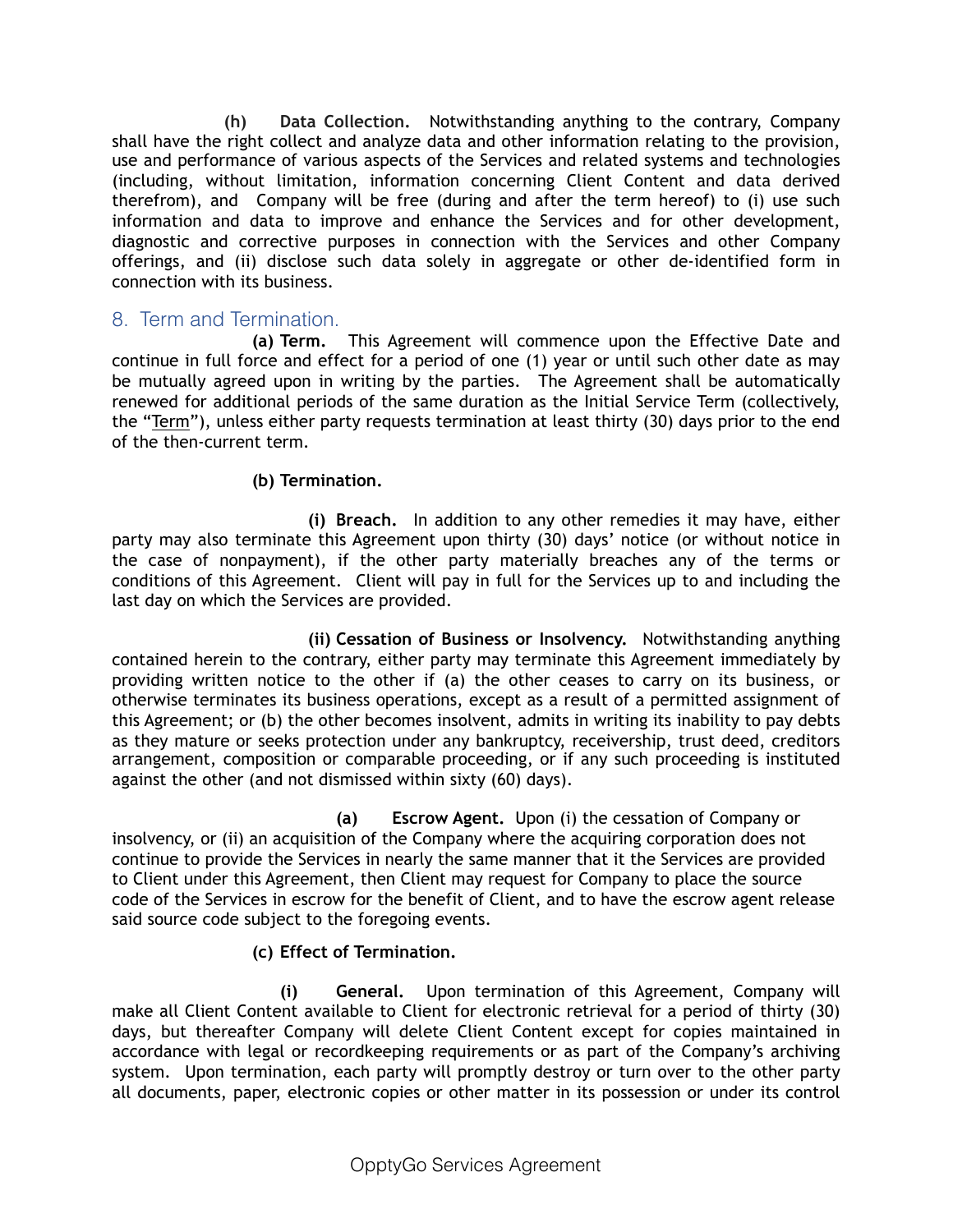**(h) Data Collection.** Notwithstanding anything to the contrary, Company shall have the right collect and analyze data and other information relating to the provision, use and performance of various aspects of the Services and related systems and technologies (including, without limitation, information concerning Client Content and data derived therefrom), and Company will be free (during and after the term hereof) to (i) use such information and data to improve and enhance the Services and for other development, diagnostic and corrective purposes in connection with the Services and other Company offerings, and (ii) disclose such data solely in aggregate or other de-identified form in connection with its business.

# 8. Term and Termination.

 **(a) Term.** This Agreement will commence upon the Effective Date and continue in full force and effect for a period of one (1) year or until such other date as may be mutually agreed upon in writing by the parties. The Agreement shall be automatically renewed for additional periods of the same duration as the Initial Service Term (collectively, the "Term"), unless either party requests termination at least thirty (30) days prior to the end of the then-current term.

#### **(b) Termination.**

 **(i) Breach.** In addition to any other remedies it may have, either party may also terminate this Agreement upon thirty (30) days' notice (or without notice in the case of nonpayment), if the other party materially breaches any of the terms or conditions of this Agreement. Client will pay in full for the Services up to and including the last day on which the Services are provided.

 **(ii) Cessation of Business or Insolvency.** Notwithstanding anything contained herein to the contrary, either party may terminate this Agreement immediately by providing written notice to the other if (a) the other ceases to carry on its business, or otherwise terminates its business operations, except as a result of a permitted assignment of this Agreement; or (b) the other becomes insolvent, admits in writing its inability to pay debts as they mature or seeks protection under any bankruptcy, receivership, trust deed, creditors arrangement, composition or comparable proceeding, or if any such proceeding is instituted against the other (and not dismissed within sixty (60) days).

 **(a) Escrow Agent.** Upon (i) the cessation of Company or insolvency, or (ii) an acquisition of the Company where the acquiring corporation does not continue to provide the Services in nearly the same manner that it the Services are provided to Client under this Agreement, then Client may request for Company to place the source code of the Services in escrow for the benefit of Client, and to have the escrow agent release said source code subject to the foregoing events.

#### **(c) Effect of Termination.**

 **(i) General.** Upon termination of this Agreement, Company will make all Client Content available to Client for electronic retrieval for a period of thirty (30) days, but thereafter Company will delete Client Content except for copies maintained in accordance with legal or recordkeeping requirements or as part of the Company's archiving system. Upon termination, each party will promptly destroy or turn over to the other party all documents, paper, electronic copies or other matter in its possession or under its control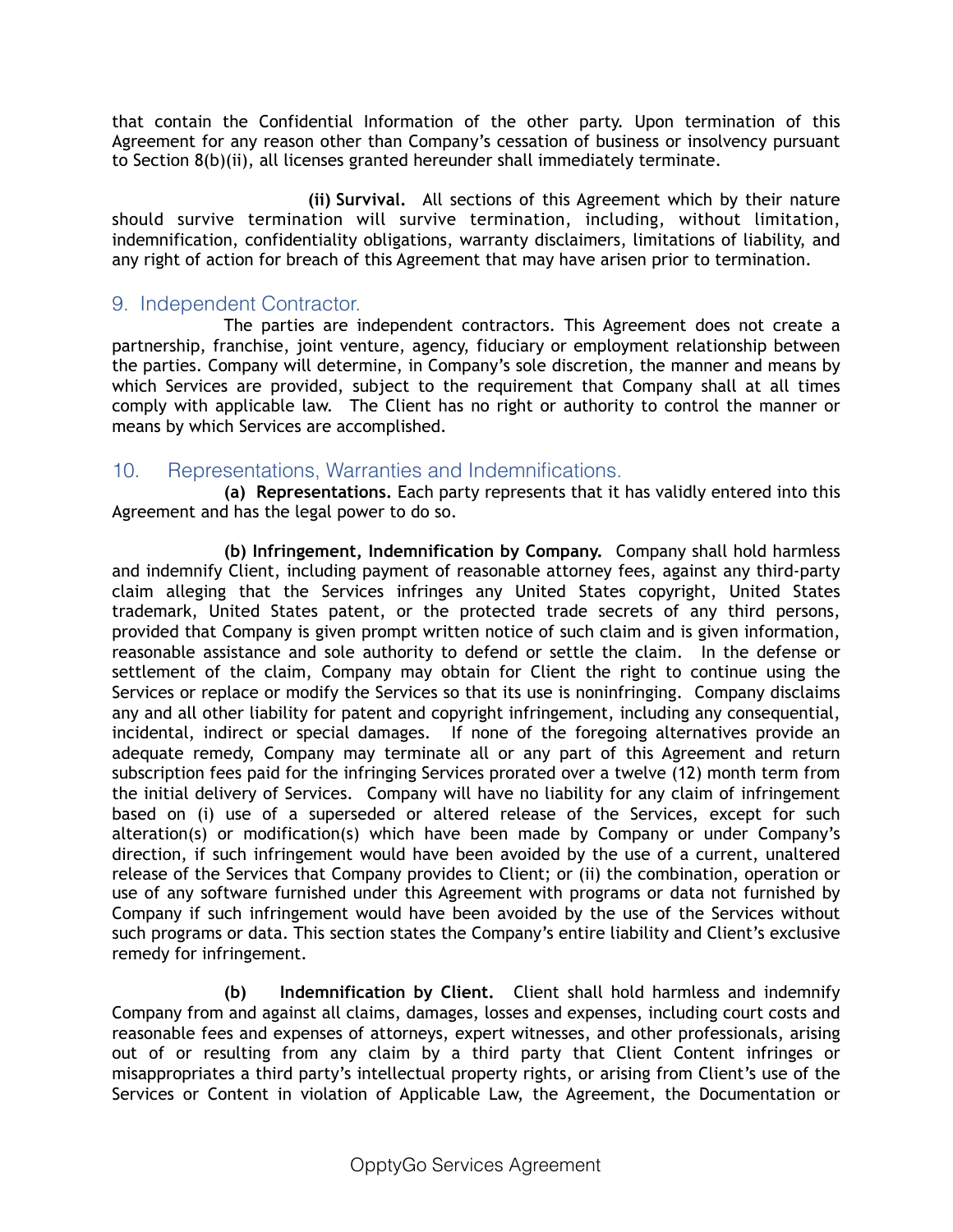that contain the Confidential Information of the other party. Upon termination of this Agreement for any reason other than Company's cessation of business or insolvency pursuant to Section 8(b)(ii), all licenses granted hereunder shall immediately terminate.

 **(ii) Survival.** All sections of this Agreement which by their nature should survive termination will survive termination, including, without limitation, indemnification, confidentiality obligations, warranty disclaimers, limitations of liability, and any right of action for breach of this Agreement that may have arisen prior to termination.

# 9. Independent Contractor.

The parties are independent contractors. This Agreement does not create a partnership, franchise, joint venture, agency, fiduciary or employment relationship between the parties. Company will determine, in Company's sole discretion, the manner and means by which Services are provided, subject to the requirement that Company shall at all times comply with applicable law. The Client has no right or authority to control the manner or means by which Services are accomplished.

#### 10. Representations, Warranties and Indemnifications.

 **(a) Representations.** Each party represents that it has validly entered into this Agreement and has the legal power to do so.

**(b) Infringement, Indemnification by Company.** Company shall hold harmless and indemnify Client, including payment of reasonable attorney fees, against any third-party claim alleging that the Services infringes any United States copyright, United States trademark, United States patent, or the protected trade secrets of any third persons, provided that Company is given prompt written notice of such claim and is given information, reasonable assistance and sole authority to defend or settle the claim. In the defense or settlement of the claim, Company may obtain for Client the right to continue using the Services or replace or modify the Services so that its use is noninfringing. Company disclaims any and all other liability for patent and copyright infringement, including any consequential, incidental, indirect or special damages. If none of the foregoing alternatives provide an adequate remedy, Company may terminate all or any part of this Agreement and return subscription fees paid for the infringing Services prorated over a twelve (12) month term from the initial delivery of Services. Company will have no liability for any claim of infringement based on (i) use of a superseded or altered release of the Services, except for such alteration(s) or modification(s) which have been made by Company or under Company's direction, if such infringement would have been avoided by the use of a current, unaltered release of the Services that Company provides to Client; or (ii) the combination, operation or use of any software furnished under this Agreement with programs or data not furnished by Company if such infringement would have been avoided by the use of the Services without such programs or data. This section states the Company's entire liability and Client's exclusive remedy for infringement.

 **(b) Indemnification by Client.** Client shall hold harmless and indemnify Company from and against all claims, damages, losses and expenses, including court costs and reasonable fees and expenses of attorneys, expert witnesses, and other professionals, arising out of or resulting from any claim by a third party that Client Content infringes or misappropriates a third party's intellectual property rights, or arising from Client's use of the Services or Content in violation of Applicable Law, the Agreement, the Documentation or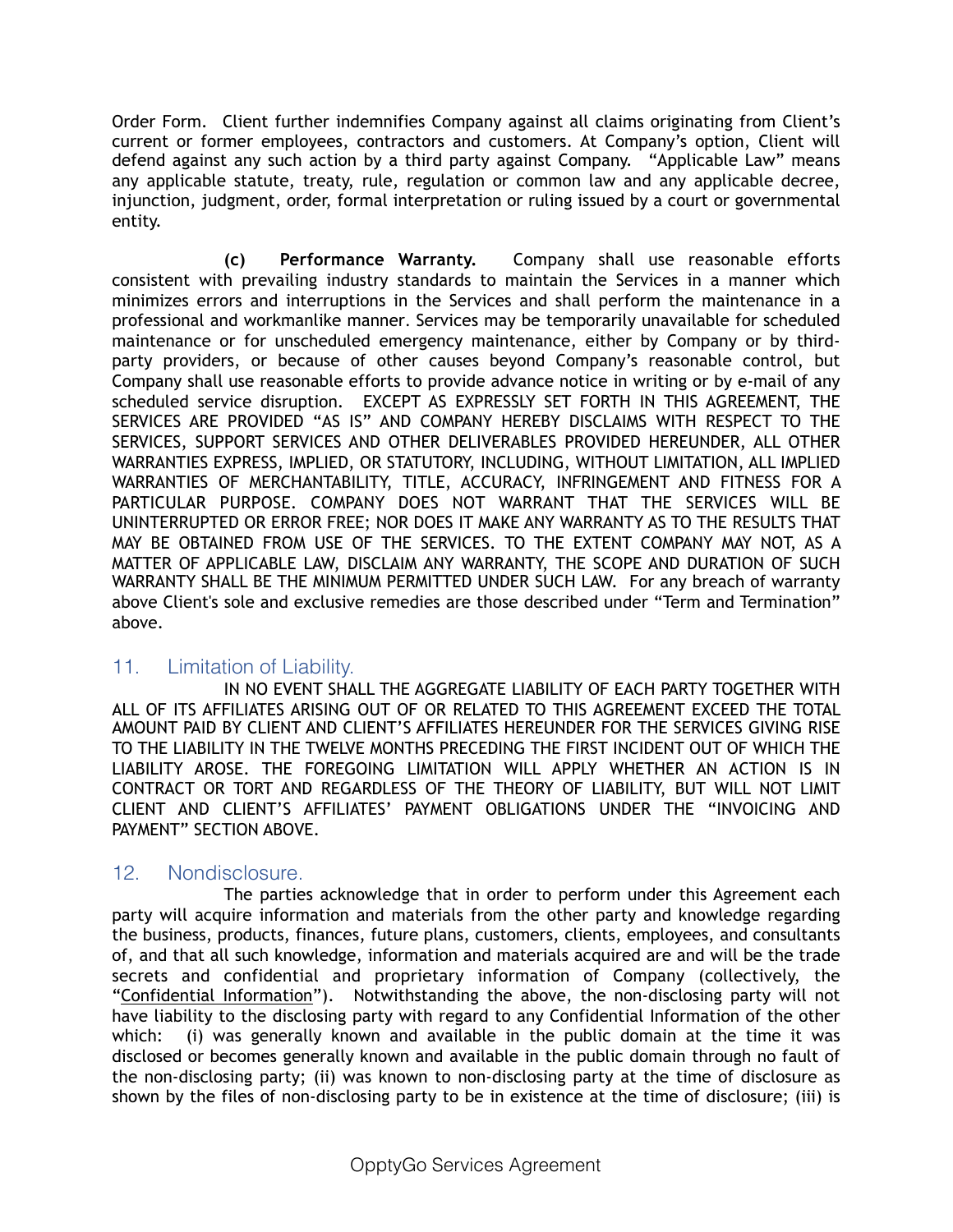Order Form. Client further indemnifies Company against all claims originating from Client's current or former employees, contractors and customers. At Company's option, Client will defend against any such action by a third party against Company. "Applicable Law" means any applicable statute, treaty, rule, regulation or common law and any applicable decree, injunction, judgment, order, formal interpretation or ruling issued by a court or governmental entity.

 **(c) Performance Warranty.** Company shall use reasonable efforts consistent with prevailing industry standards to maintain the Services in a manner which minimizes errors and interruptions in the Services and shall perform the maintenance in a professional and workmanlike manner. Services may be temporarily unavailable for scheduled maintenance or for unscheduled emergency maintenance, either by Company or by thirdparty providers, or because of other causes beyond Company's reasonable control, but Company shall use reasonable efforts to provide advance notice in writing or by e-mail of any scheduled service disruption. EXCEPT AS EXPRESSLY SET FORTH IN THIS AGREEMENT, THE SERVICES ARE PROVIDED "AS IS" AND COMPANY HEREBY DISCLAIMS WITH RESPECT TO THE SERVICES, SUPPORT SERVICES AND OTHER DELIVERABLES PROVIDED HEREUNDER, ALL OTHER WARRANTIES EXPRESS, IMPLIED, OR STATUTORY, INCLUDING, WITHOUT LIMITATION, ALL IMPLIED WARRANTIES OF MERCHANTABILITY, TITLE, ACCURACY, INFRINGEMENT AND FITNESS FOR A PARTICULAR PURPOSE. COMPANY DOES NOT WARRANT THAT THE SERVICES WILL BE UNINTERRUPTED OR ERROR FREE; NOR DOES IT MAKE ANY WARRANTY AS TO THE RESULTS THAT MAY BE OBTAINED FROM USE OF THE SERVICES. TO THE EXTENT COMPANY MAY NOT, AS A MATTER OF APPLICABLE LAW, DISCLAIM ANY WARRANTY, THE SCOPE AND DURATION OF SUCH WARRANTY SHALL BE THE MINIMUM PERMITTED UNDER SUCH LAW. For any breach of warranty above Client's sole and exclusive remedies are those described under "Term and Termination" above.

# 11. Limitation of Liability.

 IN NO EVENT SHALL THE AGGREGATE LIABILITY OF EACH PARTY TOGETHER WITH ALL OF ITS AFFILIATES ARISING OUT OF OR RELATED TO THIS AGREEMENT EXCEED THE TOTAL AMOUNT PAID BY CLIENT AND CLIENT'S AFFILIATES HEREUNDER FOR THE SERVICES GIVING RISE TO THE LIABILITY IN THE TWELVE MONTHS PRECEDING THE FIRST INCIDENT OUT OF WHICH THE LIABILITY AROSE. THE FOREGOING LIMITATION WILL APPLY WHETHER AN ACTION IS IN CONTRACT OR TORT AND REGARDLESS OF THE THEORY OF LIABILITY, BUT WILL NOT LIMIT CLIENT AND CLIENT'S AFFILIATES' PAYMENT OBLIGATIONS UNDER THE "INVOICING AND PAYMENT" SECTION ABOVE.

#### 12. Nondisclosure.

The parties acknowledge that in order to perform under this Agreement each party will acquire information and materials from the other party and knowledge regarding the business, products, finances, future plans, customers, clients, employees, and consultants of, and that all such knowledge, information and materials acquired are and will be the trade secrets and confidential and proprietary information of Company (collectively, the "Confidential Information"). Notwithstanding the above, the non-disclosing party will not have liability to the disclosing party with regard to any Confidential Information of the other which: (i) was generally known and available in the public domain at the time it was disclosed or becomes generally known and available in the public domain through no fault of the non-disclosing party; (ii) was known to non-disclosing party at the time of disclosure as shown by the files of non-disclosing party to be in existence at the time of disclosure; (iii) is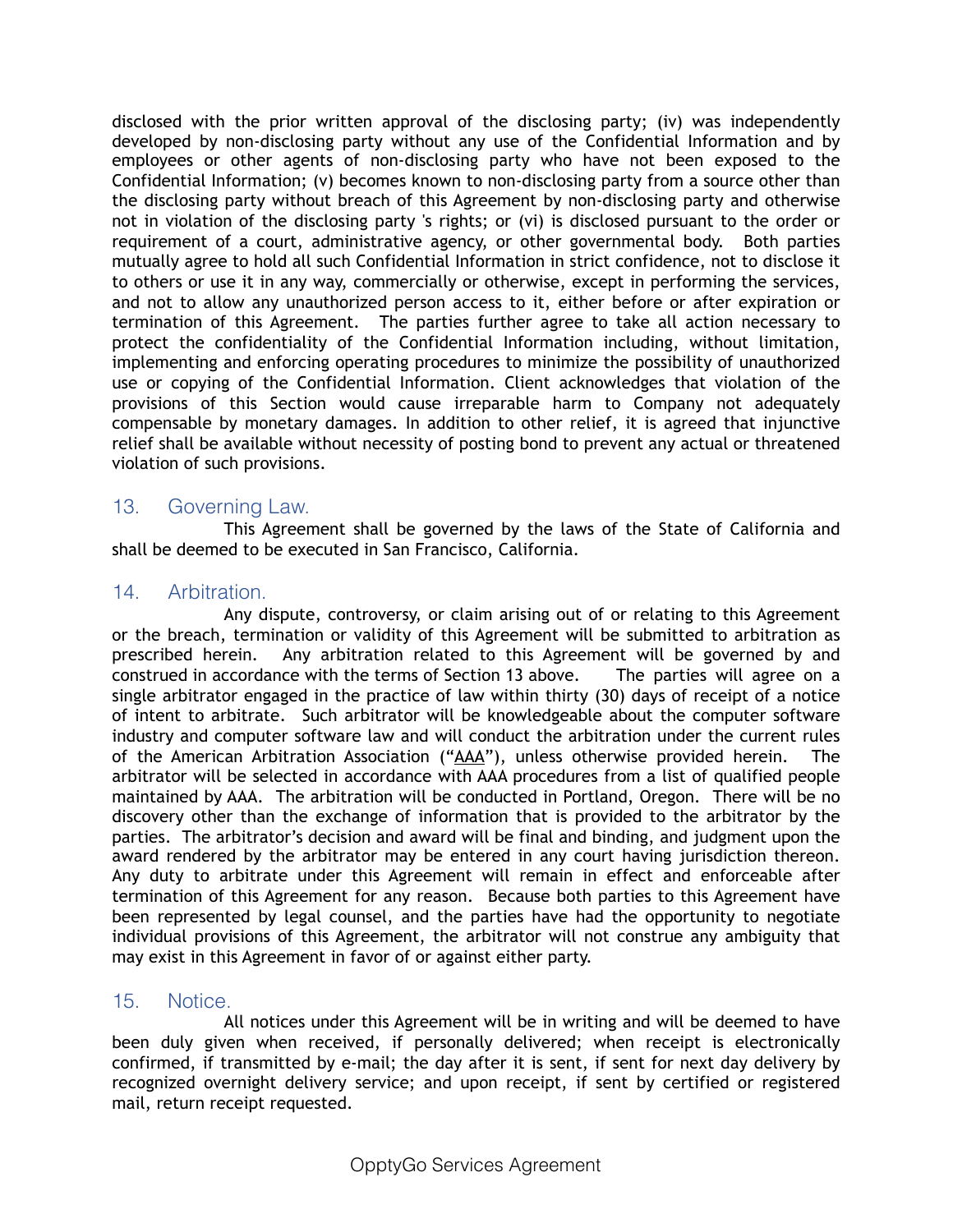disclosed with the prior written approval of the disclosing party; (iv) was independently developed by non-disclosing party without any use of the Confidential Information and by employees or other agents of non-disclosing party who have not been exposed to the Confidential Information; (v) becomes known to non-disclosing party from a source other than the disclosing party without breach of this Agreement by non-disclosing party and otherwise not in violation of the disclosing party 's rights; or (vi) is disclosed pursuant to the order or requirement of a court, administrative agency, or other governmental body. Both parties mutually agree to hold all such Confidential Information in strict confidence, not to disclose it to others or use it in any way, commercially or otherwise, except in performing the services, and not to allow any unauthorized person access to it, either before or after expiration or termination of this Agreement. The parties further agree to take all action necessary to protect the confidentiality of the Confidential Information including, without limitation, implementing and enforcing operating procedures to minimize the possibility of unauthorized use or copying of the Confidential Information. Client acknowledges that violation of the provisions of this Section would cause irreparable harm to Company not adequately compensable by monetary damages. In addition to other relief, it is agreed that injunctive relief shall be available without necessity of posting bond to prevent any actual or threatened violation of such provisions.

# 13. Governing Law.

This Agreement shall be governed by the laws of the State of California and shall be deemed to be executed in San Francisco, California.

#### 14. Arbitration.

Any dispute, controversy, or claim arising out of or relating to this Agreement or the breach, termination or validity of this Agreement will be submitted to arbitration as prescribed herein. Any arbitration related to this Agreement will be governed by and construed in accordance with the terms of Section 13 above. The parties will agree on a single arbitrator engaged in the practice of law within thirty (30) days of receipt of a notice of intent to arbitrate. Such arbitrator will be knowledgeable about the computer software industry and computer software law and will conduct the arbitration under the current rules of the American Arbitration Association ("AAA"), unless otherwise provided herein. The arbitrator will be selected in accordance with AAA procedures from a list of qualified people maintained by AAA. The arbitration will be conducted in Portland, Oregon. There will be no discovery other than the exchange of information that is provided to the arbitrator by the parties. The arbitrator's decision and award will be final and binding, and judgment upon the award rendered by the arbitrator may be entered in any court having jurisdiction thereon. Any duty to arbitrate under this Agreement will remain in effect and enforceable after termination of this Agreement for any reason. Because both parties to this Agreement have been represented by legal counsel, and the parties have had the opportunity to negotiate individual provisions of this Agreement, the arbitrator will not construe any ambiguity that may exist in this Agreement in favor of or against either party.

# 15. Notice.

All notices under this Agreement will be in writing and will be deemed to have been duly given when received, if personally delivered; when receipt is electronically confirmed, if transmitted by e-mail; the day after it is sent, if sent for next day delivery by recognized overnight delivery service; and upon receipt, if sent by certified or registered mail, return receipt requested.